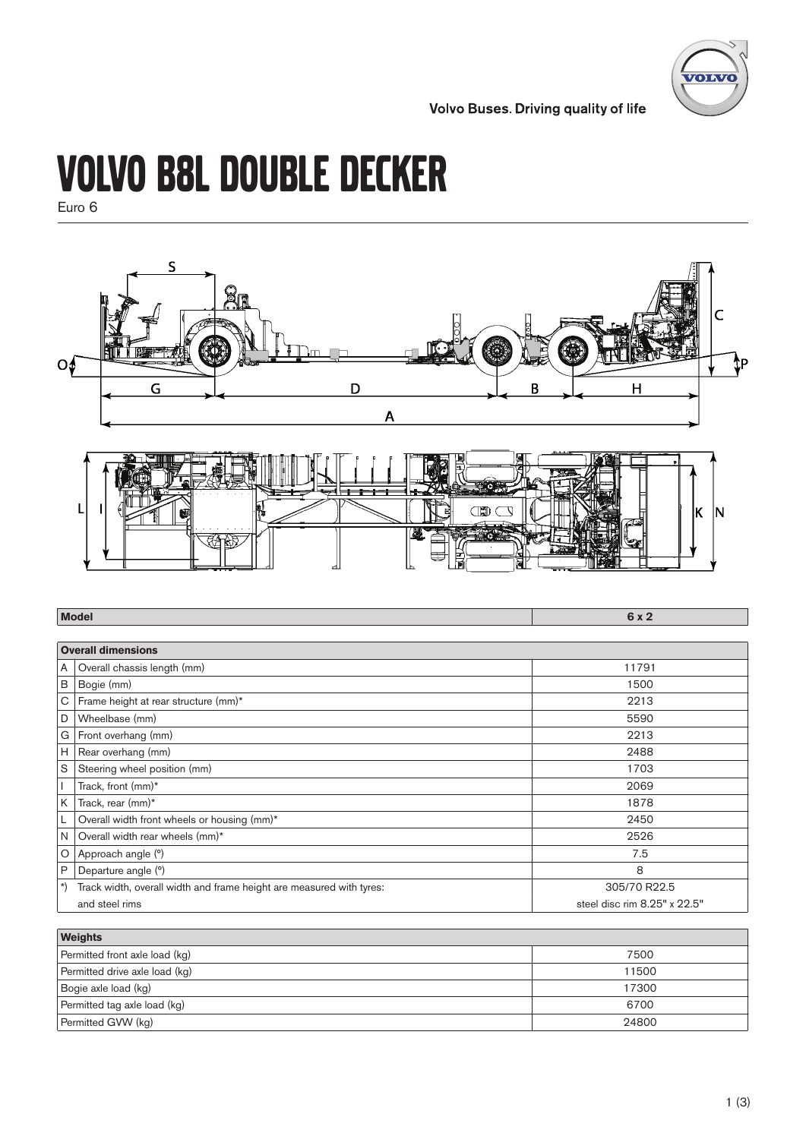

**Volvo Buses. Driving quality of life** 

# Volvo B8L Double Decker

Euro 6



| <b>Model</b>               |                                                                      | 6x2                          |
|----------------------------|----------------------------------------------------------------------|------------------------------|
|                            |                                                                      |                              |
|                            | <b>Overall dimensions</b>                                            |                              |
|                            | A   Overall chassis length (mm)                                      | 11791                        |
| $\, {\sf B}$               | Bogie (mm)                                                           | 1500                         |
|                            | C   Frame height at rear structure (mm)*                             | 2213                         |
| D                          | Wheelbase (mm)                                                       | 5590                         |
|                            | G   Front overhang (mm)                                              | 2213                         |
|                            | $H$ Rear overhang (mm)                                               | 2488                         |
| S                          | Steering wheel position (mm)                                         | 1703                         |
|                            | Track, front (mm)*                                                   | 2069                         |
| K                          | Track, rear (mm)*                                                    | 1878                         |
|                            | Overall width front wheels or housing (mm)*                          | 2450                         |
| N                          | Overall width rear wheels (mm)*                                      | 2526                         |
| $\circ$                    | Approach angle (°)                                                   | 7.5                          |
| P                          | Departure angle (°)                                                  | 8                            |
| $\left( \ \ \ \ast\right)$ | Track width, overall width and frame height are measured with tyres: | 305/70 R22.5                 |
|                            | and steel rims                                                       | steel disc rim 8.25" x 22.5" |

| <b>Weights</b>                 |       |
|--------------------------------|-------|
| Permitted front axle load (kg) | 7500  |
| Permitted drive axle load (kg) | 11500 |
| Bogie axle load (kg)           | 17300 |
| Permitted tag axle load (kg)   | 6700  |
| Permitted GVW (kg)             | 24800 |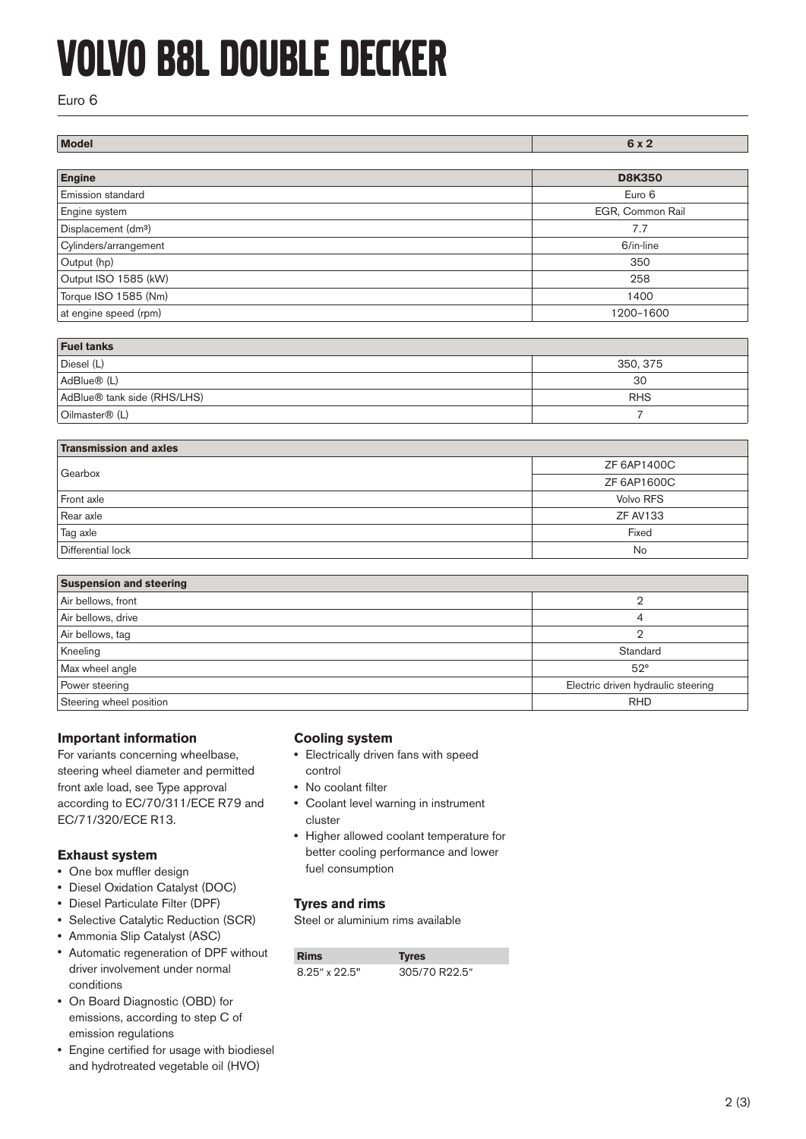# Volvo B8L Double Decker

### Euro 6

| Model                           | 6 x 2            |
|---------------------------------|------------------|
|                                 |                  |
| Engine                          | <b>D8K350</b>    |
| Emission standard               | Euro 6           |
| Engine system                   | EGR, Common Rail |
| Displacement (dm <sup>3</sup> ) | 7.7              |
| Cylinders/arrangement           | 6/in-line        |
| Output (hp)                     | 350              |
| Output ISO 1585 (kW)            | 258              |
| Torque ISO 1585 (Nm)            | 1400             |
| at engine speed (rpm)           | 1200-1600        |

| <b>Fuel tanks</b>           |            |  |
|-----------------------------|------------|--|
| Diesel (L)                  | 350, 375   |  |
| AdBlue <sup>®</sup> (L)     | 30         |  |
| AdBlue® tank side (RHS/LHS) | <b>RHS</b> |  |
| Oilmaster <sup>®</sup> (L)  |            |  |

| <b>Transmission and axles</b> |                  |  |
|-------------------------------|------------------|--|
| Gearbox                       | ZF 6AP1400C      |  |
|                               | ZF 6AP1600C      |  |
| Front axle                    | <b>Volvo RFS</b> |  |
| Rear axle                     | <b>ZF AV133</b>  |  |
| Tag axle                      | Fixed            |  |
| Differential lock             | No               |  |

| <b>Suspension and steering</b> |                                    |
|--------------------------------|------------------------------------|
| Air bellows, front             |                                    |
| Air bellows, drive             |                                    |
| Air bellows, tag               |                                    |
| Kneeling                       | Standard                           |
| Max wheel angle                | $52^\circ$                         |
| Power steering                 | Electric driven hydraulic steering |
| Steering wheel position        | <b>RHD</b>                         |

### **Important information**

For variants concerning wheelbase, steering wheel diameter and permitted front axle load, see Type approval according to EC/70/311/ECE R79 and EC/71/320/ECE R13.

### **Exhaust system**

- **•** One box muffler design
- **•** Diesel Oxidation Catalyst (DOC)
- **•** Diesel Particulate Filter (DPF)
- **•** Selective Catalytic Reduction (SCR)
- **•** Ammonia Slip Catalyst (ASC)
- **•** Automatic regeneration of DPF without driver involvement under normal conditions
- **•** On Board Diagnostic (OBD) for emissions, according to step C of emission regulations
- **•** Engine certified for usage with biodiesel and hydrotreated vegetable oil (HVO)

#### **Cooling system**

- **•** Electrically driven fans with speed control
- **•** No coolant filter
- **•** Coolant level warning in instrument cluster
- **•** Higher allowed coolant temperature for better cooling performance and lower fuel consumption

### **Tyres and rims**

Steel or aluminium rims available

| <b>Rims</b>         | <b>Tyres</b>  |
|---------------------|---------------|
| $8.25''$ x $22.5''$ | 305/70 R22.5" |